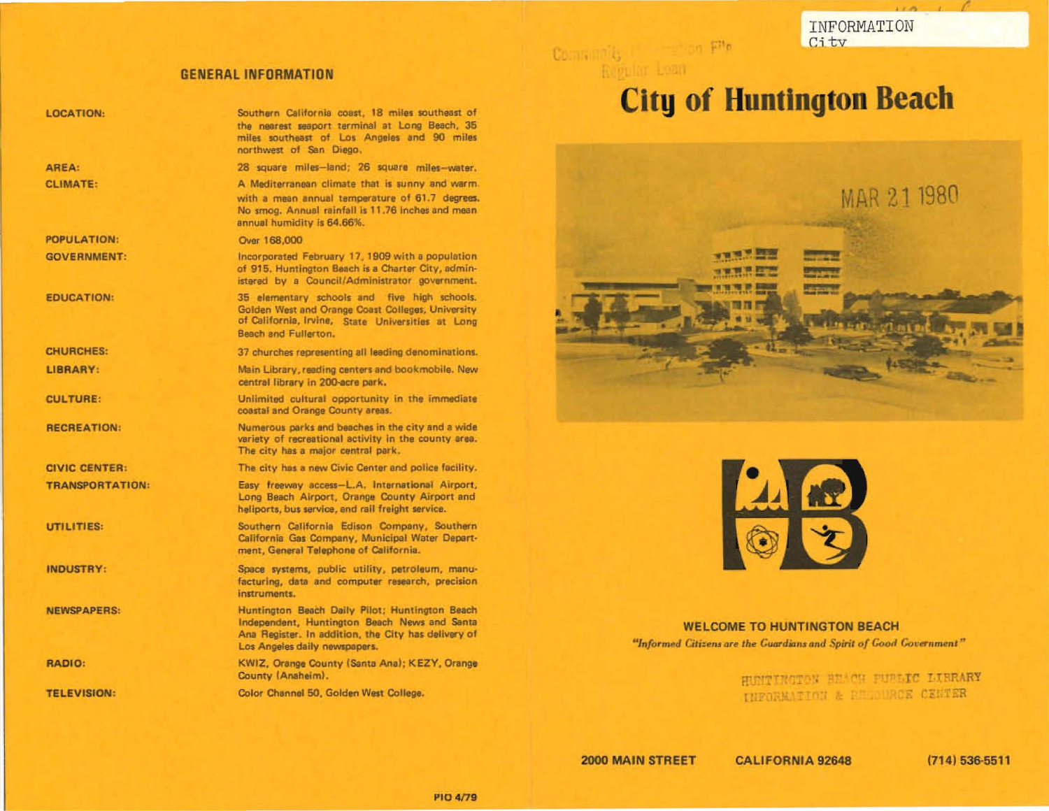INFORMATION City

## **GENERAL INFORMATION**

| <b>LOCATION:</b>       | Southern California coast, 18 miles southeast of<br>the nearest seaport terminal at Long Beach, 35<br>miles southeast of Los Angeles and 90 miles<br>northwest of San Diego,           |
|------------------------|----------------------------------------------------------------------------------------------------------------------------------------------------------------------------------------|
| AREA:                  | 28 square miles-land; 26 square miles-water.                                                                                                                                           |
| <b>CLIMATE:</b>        | A Mediterranean climate that is sunny and warm.<br>with a mean annual temperature of 61.7 degrees.<br>No smog. Annual rainfall is 11.76 inches and mean<br>annual humidity is 64.66%.  |
| <b>POPULATION:</b>     | Over 168,000                                                                                                                                                                           |
| <b>GOVERNMENT:</b>     | Incorporated February 17, 1909 with a population<br>of 915. Huntington Beach is a Charter City, admin-<br>istered by a Council/Administrator government.                               |
| <b>EDUCATION:</b>      | 35 elementary schools and five high schools.<br>Golden West and Orange Coast Colleges, University<br>of California, Irvine, State Universities at Long<br>Beach and Fullerton.         |
| <b>CHURCHES:</b>       | 37 churches representing all leading denominations.                                                                                                                                    |
| LIBRARY:               | Main Library, reading centers and bookmobile. New<br>central library in 200-acre park.                                                                                                 |
| <b>CULTURE:</b>        | Unlimited cultural opportunity in the immediate<br>coastal and Orange County areas.                                                                                                    |
| <b>RECREATION:</b>     | Numerous parks and beaches in the city and a wide<br>variety of recreational activity in the county area.<br>The city has a major central park.                                        |
| <b>CIVIC CENTER:</b>   | The city has a new Civic Center and police facility.                                                                                                                                   |
| <b>TRANSPORTATION:</b> | Easy freeway access-L.A. International Airport,<br>Long Beach Airport, Orange County Airport and<br>heliports, bus service, and rail freight service.                                  |
| UTILITIES:             | Southern California Edison Company, Southern<br>California Gas Company, Municipal Water Depart-<br>ment, General Telephone of California.                                              |
| <b>INDUSTRY:</b>       | Space systems, public utility, petroleum, manu-<br>facturing, data and computer research, precision<br>instruments.                                                                    |
| <b>NEWSPAPERS:</b>     | Huntington Beach Daily Pilot; Huntington Beach<br>Independent, Huntington Beach News and Santa<br>Ana Register. In addition, the City has delivery of<br>Los Angeles daily newspapers. |
| <b>RADIO:</b>          | KWIZ, Orange County (Santa Ana); KEZY, Orange<br>County (Anaheim).                                                                                                                     |
| <b>TELEVISION:</b>     | Color Channel 50, Golden West College.                                                                                                                                                 |

# **City of Huntington Beach**





**WELCOME TO HUNTINGTON BEACH** "Informed Citizens are the Guardians and Spirit of Good Government"

> HUNTINGTON BEACH PURLIC LIBRARY INFORMATION & BELOURCE CENTER

2000 MAIN STREET

Community (Figure 2010) Pite

**CALIFORNIA 92648** 

 $(714) 536 - 5511$